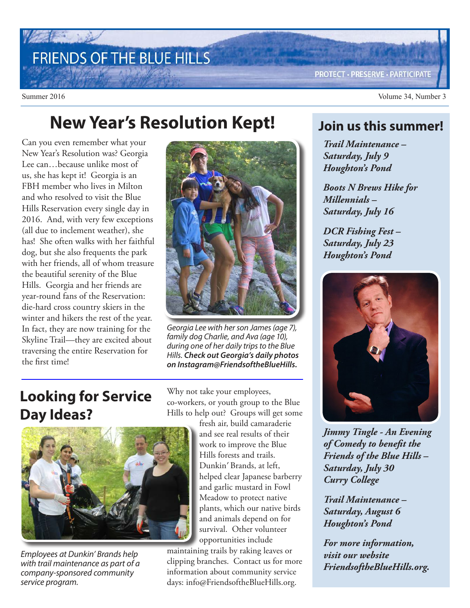# FRIENDS OF THE BLUE HILLS

**PROTECT · PRESERVE · PARTICIPATE** 

Summer 2016 Volume 34, Number 3

## **New Year's Resolution Kept!**

Can you even remember what your New Year's Resolution was? Georgia Lee can…because unlike most of us, she has kept it! Georgia is an FBH member who lives in Milton and who resolved to visit the Blue Hills Reservation every single day in 2016. And, with very few exceptions (all due to inclement weather), she has! She often walks with her faithful dog, but she also frequents the park with her friends, all of whom treasure the beautiful serenity of the Blue Hills. Georgia and her friends are year-round fans of the Reservation: die-hard cross country skiers in the winter and hikers the rest of the year. In fact, they are now training for the Skyline Trail—they are excited about traversing the entire Reservation for the first time!



Georgia Lee with her son James (age 7), family dog Charlie, and Ava (age 10), during one of her daily trips to the Blue Hills. **Check out Georgia's daily photos on Instagram@FriendsoftheBlueHills.**

### **Looking for Service Day Ideas?**



Employees at Dunkin' Brands help with trail maintenance as part of a company-sponsored community service program.

Why not take your employees, co-workers, or youth group to the Blue Hills to help out? Groups will get some

fresh air, build camaraderie and see real results of their work to improve the Blue Hills forests and trails. Dunkin' Brands, at left, helped clear Japanese barberry and garlic mustard in Fowl Meadow to protect native plants, which our native birds and animals depend on for survival. Other volunteer opportunities include

maintaining trails by raking leaves or clipping branches. Contact us for more information about community service days: info@FriendsoftheBlueHills.org.

#### **Join us this summer!**

*Trail Maintenance – Saturday, July 9 Houghton's Pond*

*Boots N Brews Hike for Millennials – Saturday, July 16*

*DCR Fishing Fest – Saturday, July 23 Houghton's Pond* 



*Jimmy Tingle - An Evening of Comedy to benefit the Friends of the Blue Hills – Saturday, July 30 Curry College*

*Trail Maintenance – Saturday, August 6 Houghton's Pond* 

*For more information, visit our website FriendsoftheBlueHills.org.*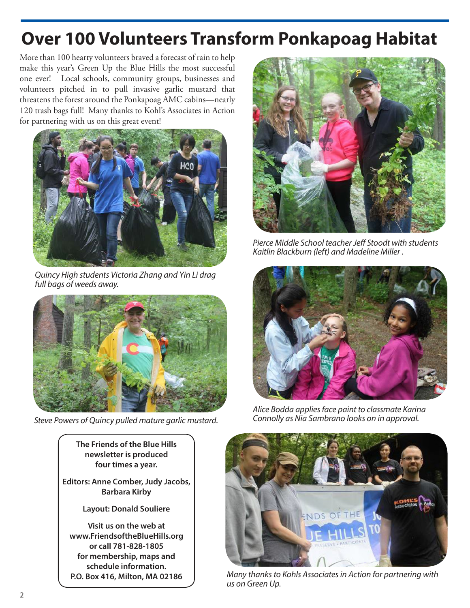## **Over 100 Volunteers Transform Ponkapoag Habitat**

More than 100 hearty volunteers braved a forecast of rain to help make this year's Green Up the Blue Hills the most successful one ever! Local schools, community groups, businesses and volunteers pitched in to pull invasive garlic mustard that threatens the forest around the Ponkapoag AMC cabins—nearly 120 trash bags full! Many thanks to Kohl's Associates in Action for partnering with us on this great event!



Quincy High students Victoria Zhang and Yin Li drag full bags of weeds away.



Steve Powers of Quincy pulled mature garlic mustard.

**The Friends of the Blue Hills newsletter is produced four times a year.**

**Editors: Anne Comber, Judy Jacobs, Barbara Kirby**

**Layout: Donald Souliere**

**Visit us on the web at www.FriendsoftheBlueHills.org or call 781-828-1805 for membership, maps and schedule information. P.O. Box 416, Milton, MA 02186**



Pierce Middle School teacher Jeff Stoodt with students Kaitlin Blackburn (left) and Madeline Miller .



Alice Bodda applies face paint to classmate Karina Connolly as Nia Sambrano looks on in approval.



Many thanks to Kohls Associates in Action for partnering with us on Green Up.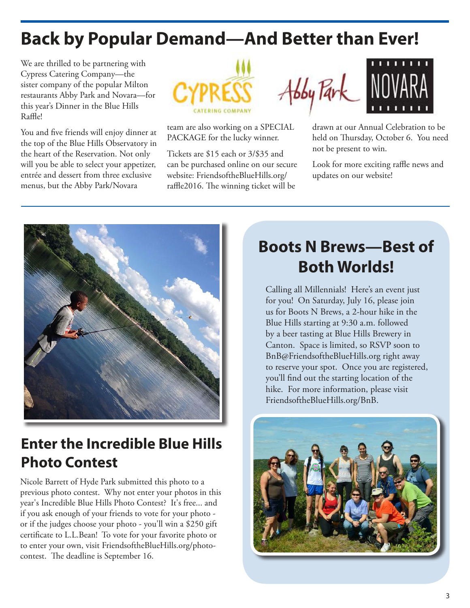## **Back by Popular Demand—And Better than Ever!**

We are thrilled to be partnering with Cypress Catering Company—the sister company of the popular Milton restaurants Abby Park and Novara—for this year's Dinner in the Blue Hills Raffle!

You and five friends will enjoy dinner at the top of the Blue Hills Observatory in the heart of the Reservation. Not only will you be able to select your appetizer, entrée and dessert from three exclusive menus, but the Abby Park/Novara



team are also working on a SPECIAL PACKAGE for the lucky winner.

Tickets are \$15 each or 3/\$35 and can be purchased online on our secure website: FriendsoftheBlueHills.org/ raffle2016. The winning ticket will be



drawn at our Annual Celebration to be held on Thursday, October 6. You need not be present to win.

Look for more exciting raffle news and updates on our website!



### **Enter the Incredible Blue Hills Photo Contest**

Nicole Barrett of Hyde Park submitted this photo to a previous photo contest. Why not enter your photos in this year's Incredible Blue Hills Photo Contest? It's free... and if you ask enough of your friends to vote for your photo or if the judges choose your photo - you'll win a \$250 gift certificate to L.L.Bean! To vote for your favorite photo or to enter your own, visit FriendsoftheBlueHills.org/photocontest. The deadline is September 16.

## **Boots N Brews—Best of Both Worlds!**

Calling all Millennials! Here's an event just for you! On Saturday, July 16, please join us for Boots N Brews, a 2-hour hike in the Blue Hills starting at 9:30 a.m. followed by a beer tasting at Blue Hills Brewery in Canton. Space is limited, so RSVP soon to BnB@FriendsoftheBlueHills.org right away to reserve your spot. Once you are registered, you'll find out the starting location of the hike. For more information, please visit FriendsoftheBlueHills.org/BnB.